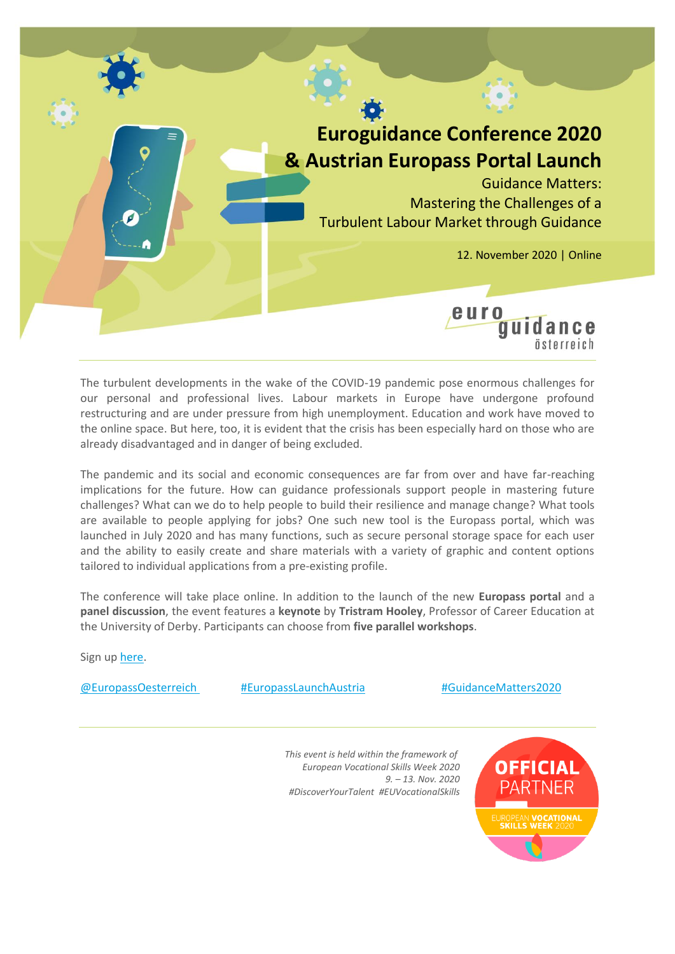

The turbulent developments in the wake of the COVID-19 pandemic pose enormous challenges for our personal and professional lives. Labour markets in Europe have undergone profound restructuring and are under pressure from high unemployment. Education and work have moved to the online space. But here, too, it is evident that the crisis has been especially hard on those who are already disadvantaged and in danger of being excluded.

The pandemic and its social and economic consequences are far from over and have far-reaching implications for the future. How can guidance professionals support people in mastering future challenges? What can we do to help people to build their resilience and manage change? What tools are available to people applying for jobs? One such new tool is the Europass portal, which was launched in July 2020 and has many functions, such as secure personal storage space for each user and the ability to easily create and share materials with a variety of graphic and content options tailored to individual applications from a pre-existing profile.

The conference will take place online. In addition to the launch of the new **Europass portal** and a **panel discussion**, the event features a **keynote** by **Tristram Hooley**, Professor of Career Education at the University of Derby. Participants can choose from **five parallel workshops**.

Sign up [here.](https://bildung.erasmusplus.at/index.php?id=5096)

[@EuropassOesterreich](https://de-de.facebook.com/EuropassOesterreich/) [#EuropassLaunchAustria](https://www.facebook.com/hashtag/europasslaunchaustria?__eep__=6&__cft__%5b0%5d=AZVJTz8tFJ1EGbOt67FWBmKH8Y3pGcuM3NAOtz5zZcb1mOskqxVecPOwCI83alEdH9I4BGnFiZiKE3wvlx7E7o5m_bgCj4PkU4km8FWBZdna7Oz17v-tf8YpCliJDNLb-ZavCPEfSgB3RnZ0D8dreyuo&__tn__=*NK-R) [#GuidanceMatters2020](https://www.facebook.com/hashtag/guidancematters2020?__eep__=6&__cft__%5b0%5d=AZVJTz8tFJ1EGbOt67FWBmKH8Y3pGcuM3NAOtz5zZcb1mOskqxVecPOwCI83alEdH9I4BGnFiZiKE3wvlx7E7o5m_bgCj4PkU4km8FWBZdna7Oz17v-tf8YpCliJDNLb-ZavCPEfSgB3RnZ0D8dreyuo&__tn__=*NK-R)

*This event is held within the framework of European Vocational Skills Week 2020 9. – 13. Nov. 2020 #DiscoverYourTalent #EUVocationalSkills*

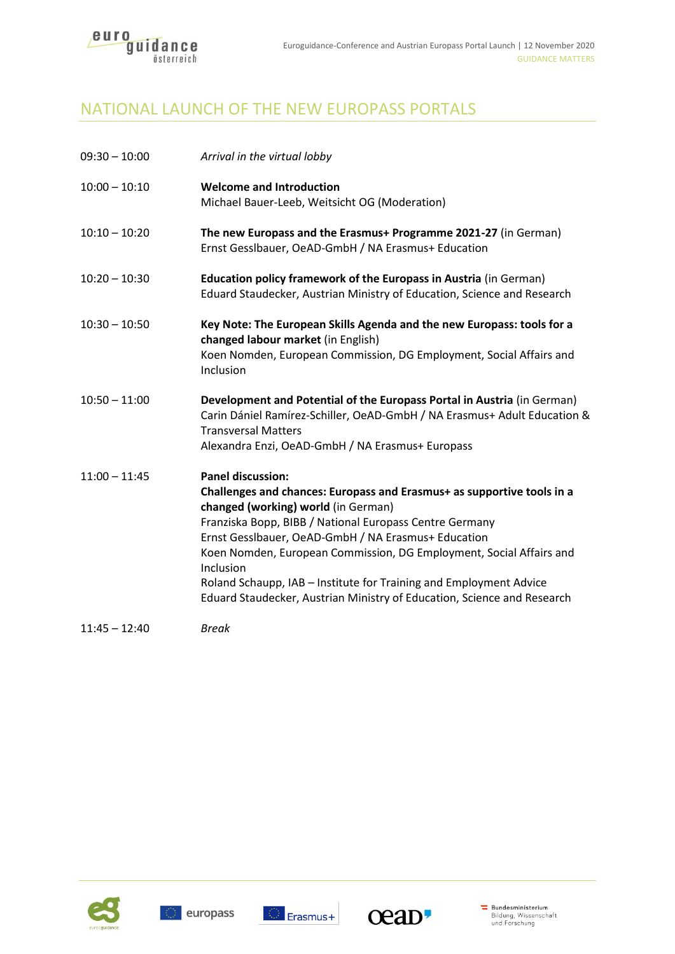

# NATIONAL LAUNCH OF THE NEW EUROPASS PORTALS

| $09:30 - 10:00$ | Arrival in the virtual lobby                                                                                                                                                                                                                                                                                                                                                                                                                                                                     |
|-----------------|--------------------------------------------------------------------------------------------------------------------------------------------------------------------------------------------------------------------------------------------------------------------------------------------------------------------------------------------------------------------------------------------------------------------------------------------------------------------------------------------------|
| $10:00 - 10:10$ | <b>Welcome and Introduction</b><br>Michael Bauer-Leeb, Weitsicht OG (Moderation)                                                                                                                                                                                                                                                                                                                                                                                                                 |
| $10:10 - 10:20$ | The new Europass and the Erasmus+ Programme 2021-27 (in German)<br>Ernst Gesslbauer, OeAD-GmbH / NA Erasmus+ Education                                                                                                                                                                                                                                                                                                                                                                           |
| $10:20 - 10:30$ | Education policy framework of the Europass in Austria (in German)<br>Eduard Staudecker, Austrian Ministry of Education, Science and Research                                                                                                                                                                                                                                                                                                                                                     |
| $10:30 - 10:50$ | Key Note: The European Skills Agenda and the new Europass: tools for a<br>changed labour market (in English)<br>Koen Nomden, European Commission, DG Employment, Social Affairs and<br>Inclusion                                                                                                                                                                                                                                                                                                 |
| $10:50 - 11:00$ | Development and Potential of the Europass Portal in Austria (in German)<br>Carin Dániel Ramírez-Schiller, OeAD-GmbH / NA Erasmus+ Adult Education &<br><b>Transversal Matters</b><br>Alexandra Enzi, OeAD-GmbH / NA Erasmus+ Europass                                                                                                                                                                                                                                                            |
| $11:00 - 11:45$ | <b>Panel discussion:</b><br>Challenges and chances: Europass and Erasmus+ as supportive tools in a<br>changed (working) world (in German)<br>Franziska Bopp, BIBB / National Europass Centre Germany<br>Ernst Gesslbauer, OeAD-GmbH / NA Erasmus+ Education<br>Koen Nomden, European Commission, DG Employment, Social Affairs and<br>Inclusion<br>Roland Schaupp, IAB - Institute for Training and Employment Advice<br>Eduard Staudecker, Austrian Ministry of Education, Science and Research |
| $11:45 - 12:40$ | <b>Break</b>                                                                                                                                                                                                                                                                                                                                                                                                                                                                                     |





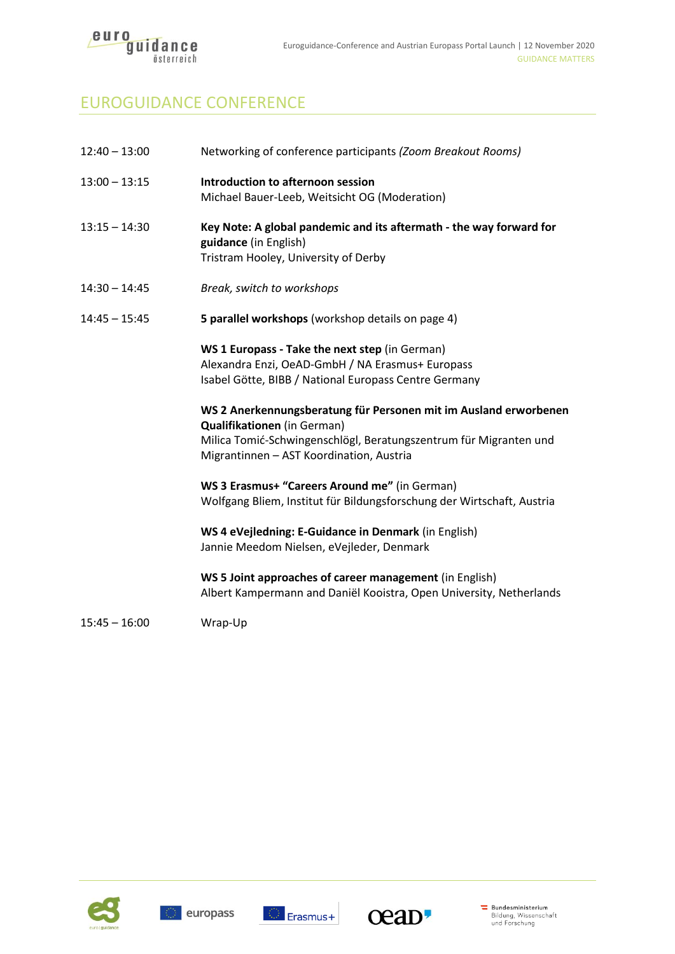

# EUROGUIDANCE CONFERENCE

| $12:40 - 13:00$ | Networking of conference participants (Zoom Breakout Rooms)                                                                                                                                                      |
|-----------------|------------------------------------------------------------------------------------------------------------------------------------------------------------------------------------------------------------------|
| $13:00 - 13:15$ | Introduction to afternoon session<br>Michael Bauer-Leeb, Weitsicht OG (Moderation)                                                                                                                               |
| $13:15 - 14:30$ | Key Note: A global pandemic and its aftermath - the way forward for<br>guidance (in English)<br>Tristram Hooley, University of Derby                                                                             |
| 14:30 - 14:45   | Break, switch to workshops                                                                                                                                                                                       |
| $14:45 - 15:45$ | 5 parallel workshops (workshop details on page 4)                                                                                                                                                                |
|                 | WS 1 Europass - Take the next step (in German)<br>Alexandra Enzi, OeAD-GmbH / NA Erasmus+ Europass<br>Isabel Götte, BIBB / National Europass Centre Germany                                                      |
|                 | WS 2 Anerkennungsberatung für Personen mit im Ausland erworbenen<br>Qualifikationen (in German)<br>Milica Tomić-Schwingenschlögl, Beratungszentrum für Migranten und<br>Migrantinnen - AST Koordination, Austria |
|                 | WS 3 Erasmus+ "Careers Around me" (in German)<br>Wolfgang Bliem, Institut für Bildungsforschung der Wirtschaft, Austria                                                                                          |
|                 | WS 4 eVejledning: E-Guidance in Denmark (in English)<br>Jannie Meedom Nielsen, eVejleder, Denmark                                                                                                                |
|                 | WS 5 Joint approaches of career management (in English)<br>Albert Kampermann and Daniël Kooistra, Open University, Netherlands                                                                                   |
| $15:45 - 16:00$ | Wrap-Up                                                                                                                                                                                                          |
|                 |                                                                                                                                                                                                                  |





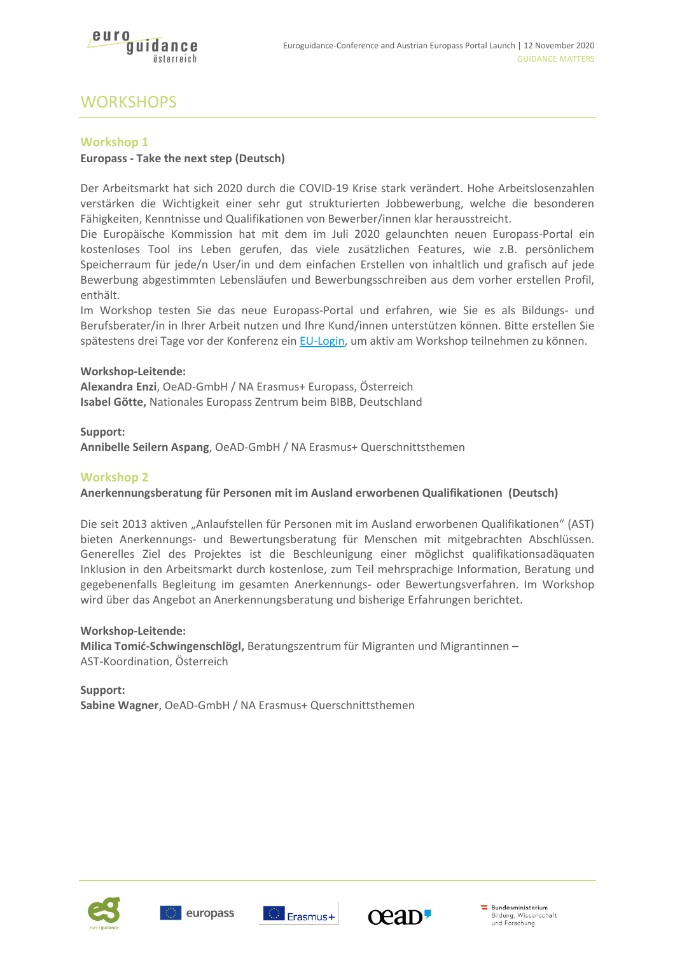

# **WORKSHOPS**

# **Workshop 1**

# **Europass - Take the next step (Deutsch)**

Der Arbeitsmarkt hat sich 2020 durch die COVID-19 Krise stark verändert. Hohe Arbeitslosenzahlen verstärken die Wichtigkeit einer sehr gut strukturierten Jobbewerbung, welche die besonderen Fähigkeiten, Kenntnisse und Qualifikationen von Bewerber/innen klar herausstreicht.

Die Europäische Kommission hat mit dem im Juli 2020 gelaunchten neuen Europass-Portal ein kostenloses Tool ins Leben gerufen, das viele zusätzlichen Features, wie z.B. persönlichem Speicherraum für jede/n User/in und dem einfachen Erstellen von inhaltlich und grafisch auf jede Bewerbung abgestimmten Lebensläufen und Bewerbungsschreiben aus dem vorher erstellen Profil, enthält.

Im Workshop testen Sie das neue Europass-Portal und erfahren, wie Sie es als Bildungs- und Berufsberater/in in Ihrer Arbeit nutzen und Ihre Kund/innen unterstützen können. Bitte erstellen Sie spätestens drei Tage vor der Konferenz ein [EU-Login,](https://ecas.ec.europa.eu/cas/eim/external/register.cgi;__Secure-ECAS_SESSIONID=XxlBDohEITom4X6Jl4e85WY3LcX3cPUbxdpmMKEdU0sHaUvk2OVPPPh5HVyfsx2akWy!2083282047?loginRequestId=ECAS_LR-28934062-slUuvUEQlkAr4zrE1fwwNK0XEiGL4mR1CUuAUWO00H6MLvbejLiAfcKUg1HwzIj5ntSpAAzdErmqWoDf512WfgW-yntOf97TTHqS3fHmSOJSJO-AvvfGxzczHJwyLUSNeHxZJB2aIbuMbc1WfDSzHjnbEm2Bs4WvRqrTKLFzO7IIdoK2Yb9LKAWzzaPIzmMZFxloCrO) um aktiv am Workshop teilnehmen zu können.

#### **Workshop-Leitende:**

**Alexandra Enzi**, OeAD-GmbH / NA Erasmus+ Europass, Österreich **Isabel Götte,** Nationales Europass Zentrum beim BIBB, Deutschland

#### **Support:**

**Annibelle Seilern Aspang**, OeAD-GmbH / NA Erasmus+ Querschnittsthemen

#### **Workshop 2**

#### **Anerkennungsberatung für Personen mit im Ausland erworbenen Qualifikationen (Deutsch)**

Die seit 2013 aktiven "Anlaufstellen für Personen mit im Ausland erworbenen Qualifikationen" (AST) bieten Anerkennungs- und Bewertungsberatung für Menschen mit mitgebrachten Abschlüssen. Generelles Ziel des Projektes ist die Beschleunigung einer möglichst qualifikationsadäquaten Inklusion in den Arbeitsmarkt durch kostenlose, zum Teil mehrsprachige Information, Beratung und gegebenenfalls Begleitung im gesamten Anerkennungs- oder Bewertungsverfahren. Im Workshop wird über das Angebot an Anerkennungsberatung und bisherige Erfahrungen berichtet.

#### **Workshop-Leitende:**

**Milica Tomić-Schwingenschlögl,** Beratungszentrum für Migranten und Migrantinnen – AST-Koordination, Österreich

# **Support: Sabine Wagner**, OeAD-GmbH / NA Erasmus+ Querschnittsthemen







Bundesministerium Bildung, Wissenschaft<br>und Forschung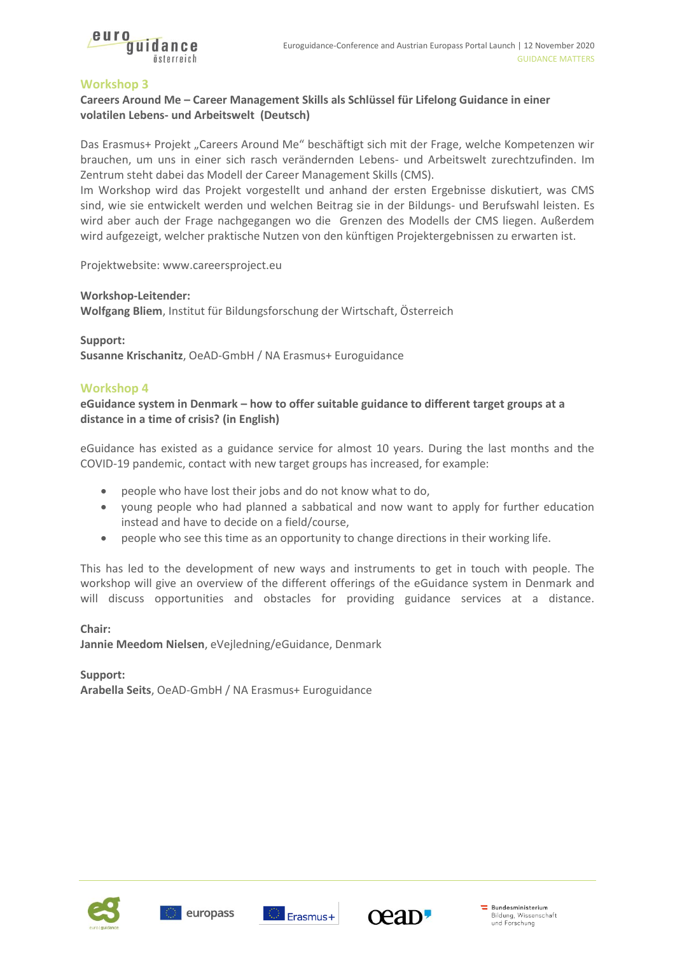

# **Workshop 3**

# **Careers Around Me – Career Management Skills als Schlüssel für Lifelong Guidance in einer volatilen Lebens- und Arbeitswelt (Deutsch)**

Das Erasmus+ Projekt "Careers Around Me" beschäftigt sich mit der Frage, welche Kompetenzen wir brauchen, um uns in einer sich rasch verändernden Lebens- und Arbeitswelt zurechtzufinden. Im Zentrum steht dabei das Modell der Career Management Skills (CMS).

Im Workshop wird das Projekt vorgestellt und anhand der ersten Ergebnisse diskutiert, was CMS sind, wie sie entwickelt werden und welchen Beitrag sie in der Bildungs- und Berufswahl leisten. Es wird aber auch der Frage nachgegangen wo die Grenzen des Modells der CMS liegen. Außerdem wird aufgezeigt, welcher praktische Nutzen von den künftigen Projektergebnissen zu erwarten ist.

Projektwebsite[: www.careersproject.eu](http://www.careersproject.eu/)

#### **Workshop-Leitender:**

**Wolfgang Bliem**, Institut für Bildungsforschung der Wirtschaft, Österreich

**Support:** 

**Susanne Krischanitz**, OeAD-GmbH / NA Erasmus+ Euroguidance

#### **Workshop 4**

**eGuidance system in Denmark – how to offer suitable guidance to different target groups at a distance in a time of crisis? (in English)**

eGuidance has existed as a guidance service for almost 10 years. During the last months and the COVID-19 pandemic, contact with new target groups has increased, for example:

- people who have lost their jobs and do not know what to do,
- young people who had planned a sabbatical and now want to apply for further education instead and have to decide on a field/course,
- people who see this time as an opportunity to change directions in their working life.

This has led to the development of new ways and instruments to get in touch with people. The workshop will give an overview of the different offerings of the eGuidance system in Denmark and will discuss opportunities and obstacles for providing guidance services at a distance.

#### **Chair:**

**Jannie Meedom Nielsen**, eVejledning/eGuidance, Denmark

**Support: Arabella Seits**, OeAD-GmbH / NA Erasmus+ Euroguidance







Bundesministerium Bildung, Wissenschaft<br>und Forschung